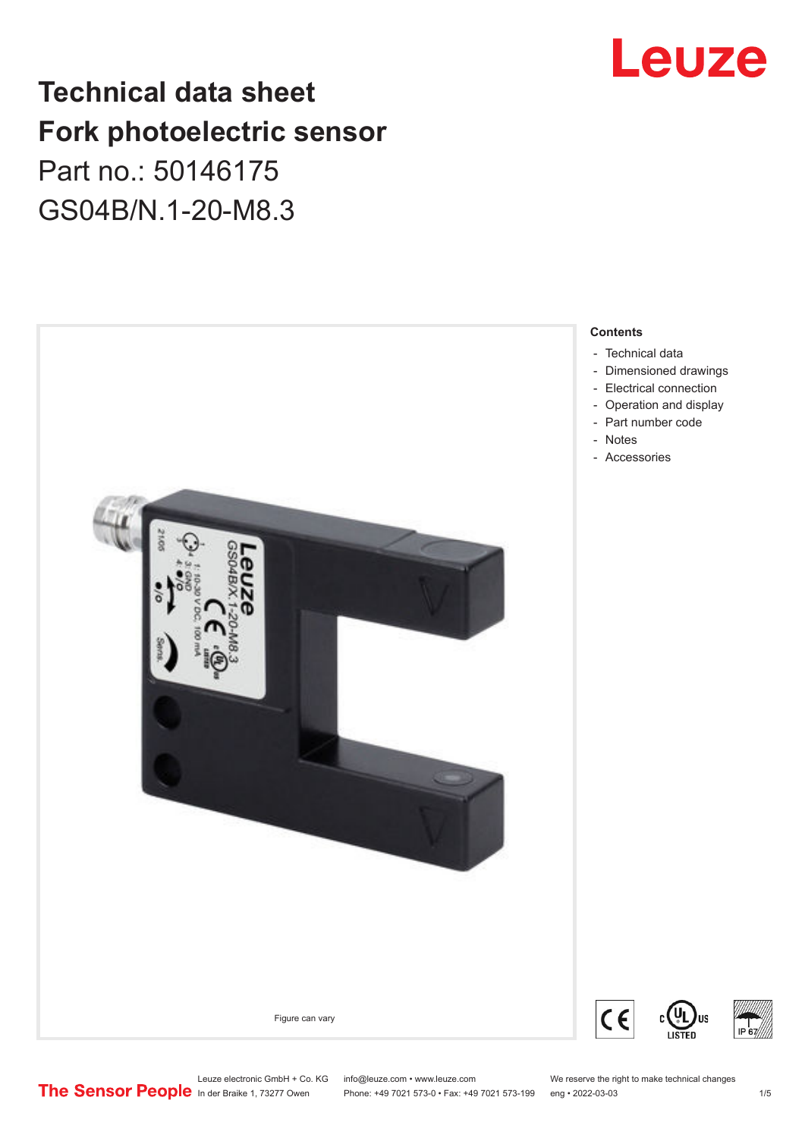

# **Technical data sheet Fork photoelectric sensor** Part no.: 50146175 GS04B/N.1-20-M8.3



- [Technical data](#page-1-0)
- [Dimensioned drawings](#page-2-0)
- [Electrical connection](#page-2-0)
	- [Operation and display](#page-2-0)
- [Part number code](#page-3-0)
- 
- [Accessories](#page-3-0)

Leuze electronic GmbH + Co. KG info@leuze.com • www.leuze.com We reserve the right to make technical changes<br>
The Sensor People in der Braike 1, 73277 Owen Phone: +49 7021 573-0 • Fax: +49 7021 573-199 eng • 2022-03-03 Phone: +49 7021 573-0 • Fax: +49 7021 573-199 eng • 2022-03-03 1 75

C

US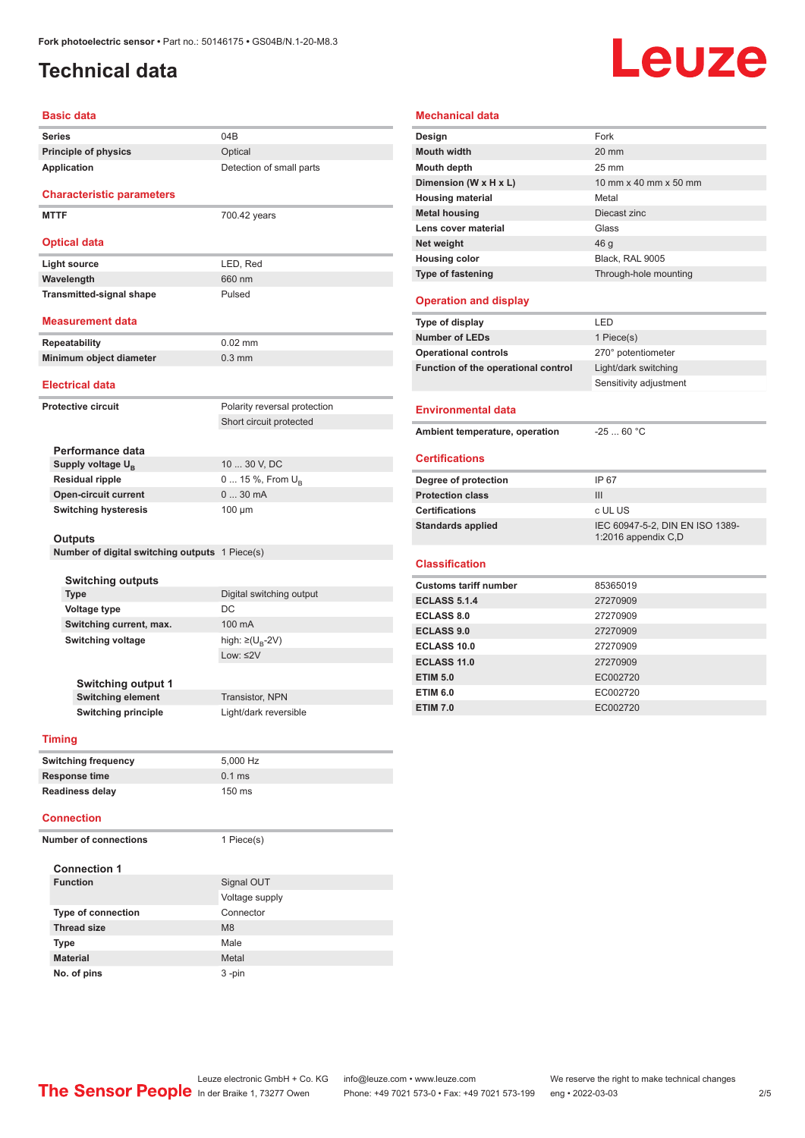# <span id="page-1-0"></span>**Technical data**

# Leuze

| <b>Basic data</b>                                                                                                                                                 |                                                |                                   |  |  |
|-------------------------------------------------------------------------------------------------------------------------------------------------------------------|------------------------------------------------|-----------------------------------|--|--|
| <b>Series</b>                                                                                                                                                     |                                                | 04B                               |  |  |
|                                                                                                                                                                   | <b>Principle of physics</b>                    | Optical                           |  |  |
|                                                                                                                                                                   | Application                                    | Detection of small parts          |  |  |
|                                                                                                                                                                   |                                                |                                   |  |  |
|                                                                                                                                                                   | <b>Characteristic parameters</b>               |                                   |  |  |
| <b>MTTF</b>                                                                                                                                                       |                                                | 700.42 years                      |  |  |
|                                                                                                                                                                   |                                                |                                   |  |  |
|                                                                                                                                                                   | <b>Optical data</b>                            |                                   |  |  |
|                                                                                                                                                                   | <b>Light source</b>                            | LED, Red                          |  |  |
|                                                                                                                                                                   | Wavelength                                     | 660 nm                            |  |  |
|                                                                                                                                                                   | <b>Transmitted-signal shape</b>                | Pulsed                            |  |  |
|                                                                                                                                                                   | <b>Measurement data</b>                        |                                   |  |  |
|                                                                                                                                                                   |                                                |                                   |  |  |
|                                                                                                                                                                   | <b>Repeatability</b>                           | $0.02$ mm                         |  |  |
|                                                                                                                                                                   | Minimum object diameter                        | $0.3$ mm                          |  |  |
|                                                                                                                                                                   | <b>Electrical data</b>                         |                                   |  |  |
| <b>Protective circuit</b>                                                                                                                                         |                                                | Polarity reversal protection      |  |  |
|                                                                                                                                                                   |                                                | Short circuit protected           |  |  |
|                                                                                                                                                                   |                                                |                                   |  |  |
|                                                                                                                                                                   | Performance data                               |                                   |  |  |
|                                                                                                                                                                   | Supply voltage U <sub>B</sub>                  | 10  30 V, DC                      |  |  |
|                                                                                                                                                                   | <b>Residual ripple</b>                         | 0  15 %, From $U_{\rm B}$         |  |  |
|                                                                                                                                                                   | <b>Open-circuit current</b>                    | 030mA                             |  |  |
|                                                                                                                                                                   | <b>Switching hysteresis</b>                    | $100 \mu m$                       |  |  |
|                                                                                                                                                                   | Outputs                                        |                                   |  |  |
|                                                                                                                                                                   | Number of digital switching outputs 1 Piece(s) |                                   |  |  |
|                                                                                                                                                                   |                                                |                                   |  |  |
|                                                                                                                                                                   | <b>Switching outputs</b>                       |                                   |  |  |
| <b>Type</b>                                                                                                                                                       |                                                | Digital switching output          |  |  |
| <b>Voltage type</b><br>Switching current, max.<br><b>Switching voltage</b><br><b>Switching output 1</b><br><b>Switching element</b><br><b>Switching principle</b> |                                                | DC                                |  |  |
|                                                                                                                                                                   |                                                | 100 mA                            |  |  |
|                                                                                                                                                                   |                                                | high: $\geq$ (U <sub>B</sub> -2V) |  |  |
|                                                                                                                                                                   |                                                | Low: $\leq$ 2V                    |  |  |
|                                                                                                                                                                   |                                                |                                   |  |  |
|                                                                                                                                                                   |                                                | Transistor, NPN                   |  |  |
|                                                                                                                                                                   |                                                |                                   |  |  |
|                                                                                                                                                                   |                                                | Light/dark reversible             |  |  |

#### **Mouth width** 20 mm **Mouth depth** 25 mm **Dimension (W x H x L)** 10 mm x 40 mm x 50 mm **Housing material Metal Metal housing** Diecast zinc **Lens cover material Glass** Glass **Net weight A** 46 g **Housing color** Black, RAL 9005 **Type of fastening** Through-hole mounting **Operation and display Type of display** LED **Number of LEDs** 1 Piece(s) **Operational controls** 270° potentiometer **Function of the operational control** Light/dark switching Sensitivity adjustment **Environmental data** Ambient temperature, operation -25 ... 60 °C **Certifications Degree of protection** IP 67 **Protection class** III **Certifications** c UL US Standards applied<br>
IEC 60947-5-2, DIN EN ISO 1389-1:2016 appendix C,D **Classification Customs tariff number** 85365019 **ECLASS 5.1.4** 27270909 **ECLASS 8.0** 27270909

**Mechanical data**

**Design** Fork

| LULAJJ 0.0         | 2121 USUS |
|--------------------|-----------|
| <b>ECLASS 9.0</b>  | 27270909  |
| ECLASS 10.0        | 27270909  |
| <b>ECLASS 11.0</b> | 27270909  |
| <b>ETIM 5.0</b>    | EC002720  |
| <b>ETIM 6.0</b>    | EC002720  |
| <b>ETIM 7.0</b>    | EC002720  |

#### **Timing**

| <b>Switching frequency</b> | 5.000 Hz         |
|----------------------------|------------------|
| Response time              | $0.1$ ms         |
| <b>Readiness delay</b>     | $150 \text{ ms}$ |

#### **Connection**

| <b>Number of connections</b> |                           | 1 Piece(s)     |
|------------------------------|---------------------------|----------------|
| <b>Connection 1</b>          |                           |                |
|                              | <b>Function</b>           | Signal OUT     |
|                              |                           | Voltage supply |
|                              | <b>Type of connection</b> | Connector      |
|                              | <b>Thread size</b>        | M8             |
|                              | <b>Type</b>               | Male           |
|                              | <b>Material</b>           | Metal          |
|                              | No. of pins               | $3 - pin$      |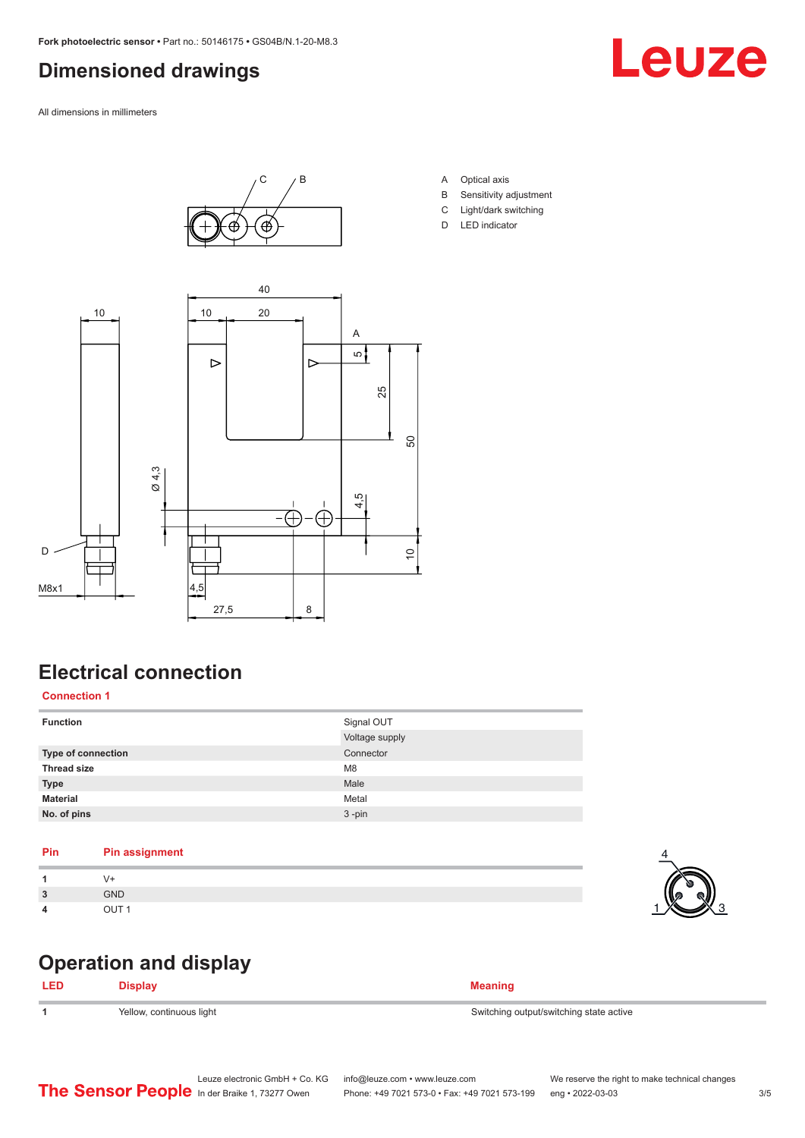### <span id="page-2-0"></span>**Dimensioned drawings**

All dimensions in millimeters





- A Optical axis
- B Sensitivity adjustment
- C Light/dark switching
- D LED indicator



## **Electrical connection**

#### **Connection 1**

| <b>Function</b>    | Signal OUT<br>Voltage supply |
|--------------------|------------------------------|
| Type of connection | Connector                    |
| <b>Thread size</b> | M <sub>8</sub>               |
| <b>Type</b>        | Male                         |
| <b>Material</b>    | Metal                        |
| No. of pins        | $3 - pin$                    |

| Pin | <b>Pin assignment</b> |
|-----|-----------------------|
|     | V+                    |
| 3   | <b>GND</b>            |
| 4   | OUT <sub>1</sub>      |

### **Operation and display**

| LED | <b>Display</b>           | <b>Meaning</b>                          |
|-----|--------------------------|-----------------------------------------|
|     | Yellow, continuous light | Switching output/switching state active |

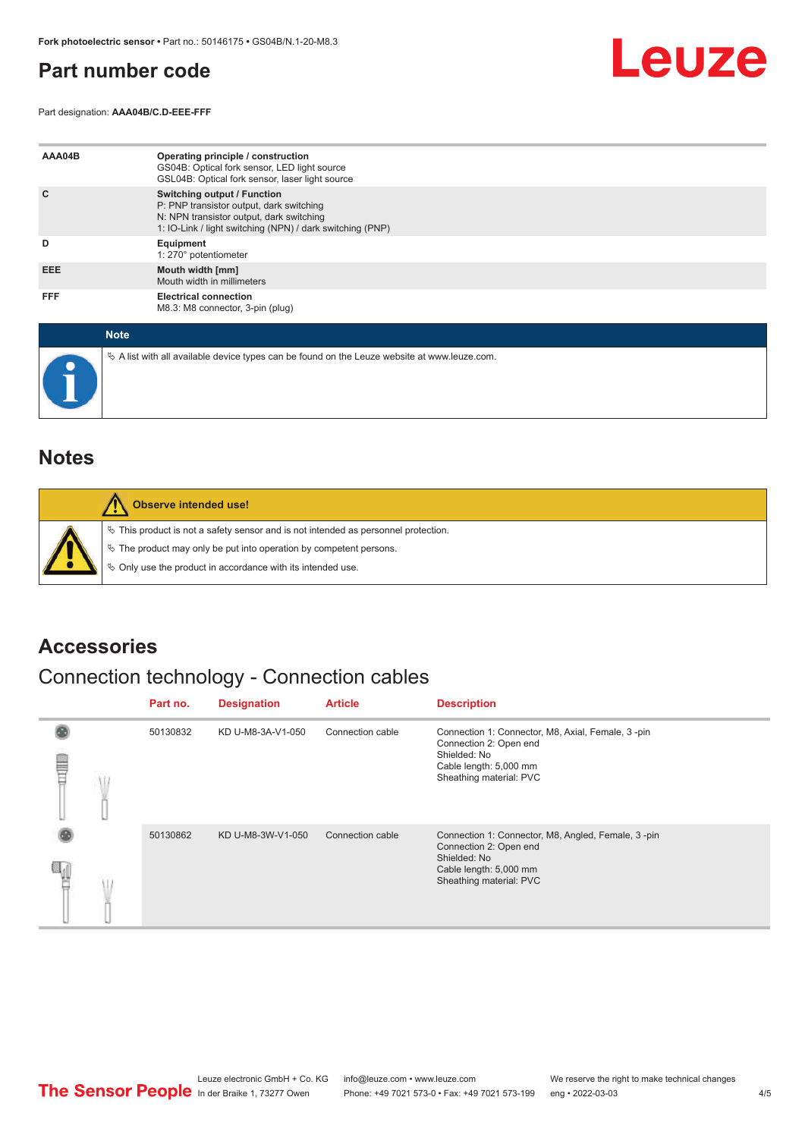### <span id="page-3-0"></span>**Part number code**

Part designation: **AAA04B/C.D-EEE-FFF**



| AAA04B     | Operating principle / construction<br>GS04B: Optical fork sensor, LED light source<br>GSL04B: Optical fork sensor, laser light source                                                   |
|------------|-----------------------------------------------------------------------------------------------------------------------------------------------------------------------------------------|
| C          | <b>Switching output / Function</b><br>P: PNP transistor output, dark switching<br>N: NPN transistor output, dark switching<br>1: IO-Link / light switching (NPN) / dark switching (PNP) |
| D          | Equipment<br>1: 270° potentiometer                                                                                                                                                      |
| EEE.       | Mouth width [mm]<br>Mouth width in millimeters                                                                                                                                          |
| <b>FFF</b> | <b>Electrical connection</b><br>M8.3: M8 connector, 3-pin (plug)                                                                                                                        |

| <b>Note</b>                                                                                     |
|-------------------------------------------------------------------------------------------------|
| $\&$ A list with all available device types can be found on the Leuze website at www.leuze.com. |

#### **Notes**

| Observe intended use!                                                                                                                                                                                                      |
|----------------------------------------------------------------------------------------------------------------------------------------------------------------------------------------------------------------------------|
| $\%$ This product is not a safety sensor and is not intended as personnel protection.<br>§ The product may only be put into operation by competent persons.<br>§ Only use the product in accordance with its intended use. |

#### **Accessories**

# Connection technology - Connection cables

|   |  | Part no. | <b>Designation</b> | <b>Article</b>   | <b>Description</b>                                                                                                                                |
|---|--|----------|--------------------|------------------|---------------------------------------------------------------------------------------------------------------------------------------------------|
| ▤ |  | 50130832 | KD U-M8-3A-V1-050  | Connection cable | Connection 1: Connector, M8, Axial, Female, 3-pin<br>Connection 2: Open end<br>Shielded: No<br>Cable length: 5,000 mm<br>Sheathing material: PVC  |
|   |  | 50130862 | KD U-M8-3W-V1-050  | Connection cable | Connection 1: Connector, M8, Angled, Female, 3-pin<br>Connection 2: Open end<br>Shielded: No<br>Cable length: 5,000 mm<br>Sheathing material: PVC |